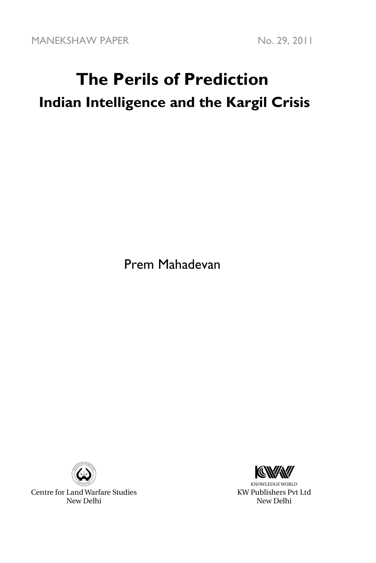MANEKSHAW PAPER No. 29, 2011

# **The Perils of Prediction Indian Intelligence and the Kargil Crisis**

Prem Mahadevan



Centre for Land Warfare Studies New Delhi



KNOWLEDGE WORLD KW Publishers Pvt Ltd New Delhi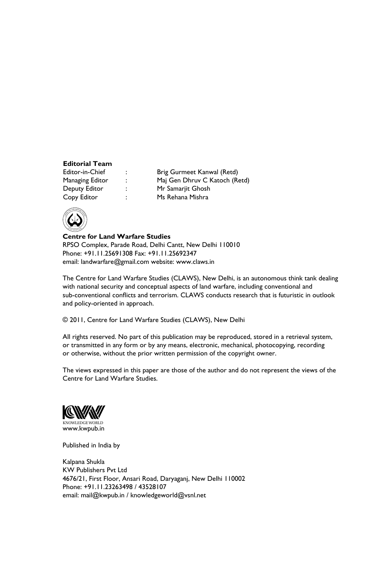### **Editorial Team**

Copy Editor : Ms Rehana Mishra

: Brig Gurmeet Kanwal (Retd) Managing Editor : Maj Gen Dhruv C Katoch (Retd) Deputy Editor : Mr Samarjit Ghosh



**Centre for Land Warfare Studies**  RPSO Complex, Parade Road, Delhi Cantt, New Delhi 110010 Phone: +91.11.25691308 Fax: +91.11.25692347 email: landwarfare@gmail.com website: www.claws.in

The Centre for Land Warfare Studies (CLAWS), New Delhi, is an autonomous think tank dealing with national security and conceptual aspects of land warfare, including conventional and sub-conventional conflicts and terrorism. CLAWS conducts research that is futuristic in outlook and policy-oriented in approach.

© 2011, Centre for Land Warfare Studies (CLAWS), New Delhi

All rights reserved. No part of this publication may be reproduced, stored in a retrieval system, or transmitted in any form or by any means, electronic, mechanical, photocopying, recording or otherwise, without the prior written permission of the copyright owner.

The views expressed in this paper are those of the author and do not represent the views of the Centre for Land Warfare Studies.



Published in India by

Kalpana Shukla KW Publishers Pvt Ltd 4676/21, First Floor, Ansari Road, Daryaganj, New Delhi 110002 Phone: +91.11.23263498 / 43528107 email: mail@kwpub.in / knowledgeworld@vsnl.net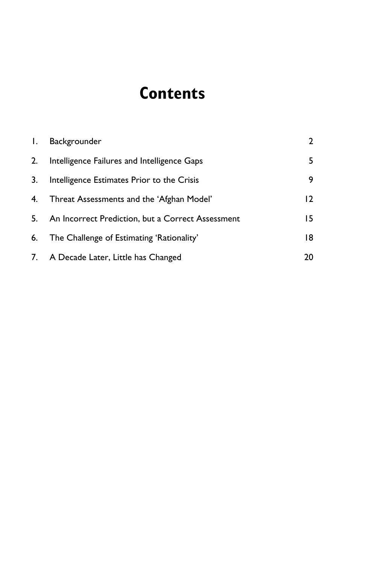### **Contents**

| $\mathbf{L}$ | Backgrounder                                      | $\overline{2}$ |
|--------------|---------------------------------------------------|----------------|
| 2.           | Intelligence Failures and Intelligence Gaps       | 5.             |
| 3.           | Intelligence Estimates Prior to the Crisis        | 9              |
| 4.           | Threat Assessments and the 'Afghan Model'         | 12             |
| 5.           | An Incorrect Prediction, but a Correct Assessment | 15             |
| 6.           | The Challenge of Estimating 'Rationality'         | 18             |
|              | 7. A Decade Later, Little has Changed             | 20             |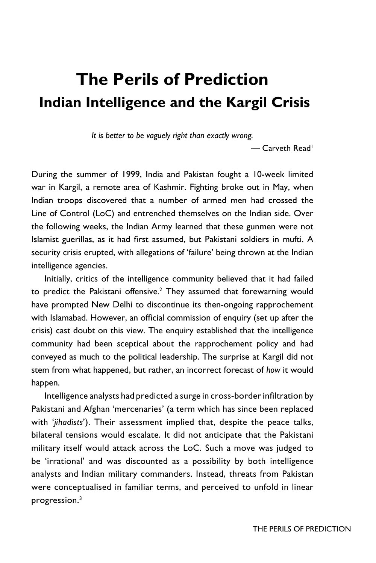## **The Perils of Prediction Indian Intelligence and the Kargil Crisis**

*It is better to be vaguely right than exactly wrong.*

— Carveth Read<sup>1</sup>

During the summer of 1999, India and Pakistan fought a 10-week limited war in Kargil, a remote area of Kashmir. Fighting broke out in May, when Indian troops discovered that a number of armed men had crossed the Line of Control (LoC) and entrenched themselves on the Indian side. Over the following weeks, the Indian Army learned that these gunmen were not Islamist guerillas, as it had first assumed, but Pakistani soldiers in mufti. A security crisis erupted, with allegations of 'failure' being thrown at the Indian intelligence agencies.

Initially, critics of the intelligence community believed that it had failed to predict the Pakistani offensive.<sup>2</sup> They assumed that forewarning would have prompted New Delhi to discontinue its then-ongoing rapprochement with Islamabad. However, an official commission of enquiry (set up after the crisis) cast doubt on this view. The enquiry established that the intelligence community had been sceptical about the rapprochement policy and had conveyed as much to the political leadership. The surprise at Kargil did not stem from what happened, but rather, an incorrect forecast of *how* it would happen.

Intelligence analysts had predicted a surge in cross-border infiltration by Pakistani and Afghan 'mercenaries' (a term which has since been replaced with '*jihadists*'). Their assessment implied that, despite the peace talks, bilateral tensions would escalate. It did not anticipate that the Pakistani military itself would attack across the LoC. Such a move was judged to be 'irrational' and was discounted as a possibility by both intelligence analysts and Indian military commanders. Instead, threats from Pakistan were conceptualised in familiar terms, and perceived to unfold in linear progression.3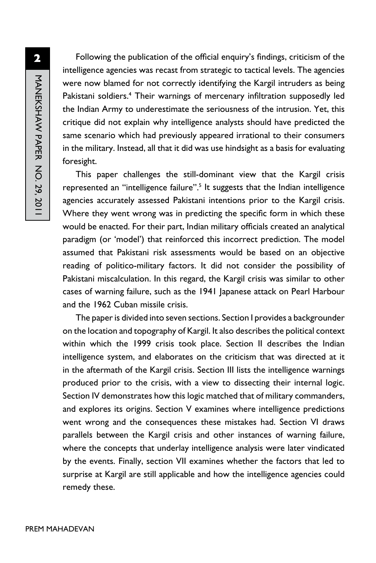Following the publication of the official enquiry's findings, criticism of the intelligence agencies was recast from strategic to tactical levels. The agencies were now blamed for not correctly identifying the Kargil intruders as being Pakistani soldiers.<sup>4</sup> Their warnings of mercenary infiltration supposedly led the Indian Army to underestimate the seriousness of the intrusion. Yet, this critique did not explain why intelligence analysts should have predicted the same scenario which had previously appeared irrational to their consumers in the military. Instead, all that it did was use hindsight as a basis for evaluating foresight.

This paper challenges the still-dominant view that the Kargil crisis represented an "intelligence failure".<sup>5</sup> It suggests that the Indian intelligence agencies accurately assessed Pakistani intentions prior to the Kargil crisis. Where they went wrong was in predicting the specific form in which these would be enacted. For their part, Indian military officials created an analytical paradigm (or 'model') that reinforced this incorrect prediction. The model assumed that Pakistani risk assessments would be based on an objective reading of politico-military factors. It did not consider the possibility of Pakistani miscalculation. In this regard, the Kargil crisis was similar to other cases of warning failure, such as the 1941 Japanese attack on Pearl Harbour and the 1962 Cuban missile crisis.

The paper is divided into seven sections. Section I provides a backgrounder on the location and topography of Kargil. It also describes the political context within which the 1999 crisis took place. Section II describes the Indian intelligence system, and elaborates on the criticism that was directed at it in the aftermath of the Kargil crisis. Section III lists the intelligence warnings produced prior to the crisis, with a view to dissecting their internal logic. Section IV demonstrates how this logic matched that of military commanders, and explores its origins. Section V examines where intelligence predictions went wrong and the consequences these mistakes had. Section VI draws parallels between the Kargil crisis and other instances of warning failure, where the concepts that underlay intelligence analysis were later vindicated by the events. Finally, section VII examines whether the factors that led to surprise at Kargil are still applicable and how the intelligence agencies could remedy these.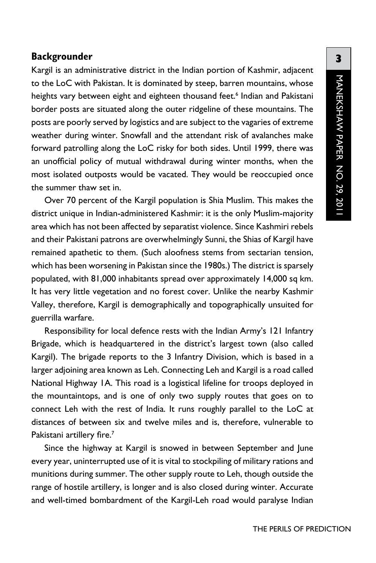#### **Backgrounder**

Kargil is an administrative district in the Indian portion of Kashmir, adjacent to the LoC with Pakistan. It is dominated by steep, barren mountains, whose heights vary between eight and eighteen thousand feet.<sup>6</sup> Indian and Pakistani border posts are situated along the outer ridgeline of these mountains. The posts are poorly served by logistics and are subject to the vagaries of extreme weather during winter. Snowfall and the attendant risk of avalanches make forward patrolling along the LoC risky for both sides. Until 1999, there was an unofficial policy of mutual withdrawal during winter months, when the most isolated outposts would be vacated. They would be reoccupied once the summer thaw set in.

Over 70 percent of the Kargil population is Shia Muslim. This makes the district unique in Indian-administered Kashmir: it is the only Muslim-majority area which has not been affected by separatist violence. Since Kashmiri rebels and their Pakistani patrons are overwhelmingly Sunni, the Shias of Kargil have remained apathetic to them. (Such aloofness stems from sectarian tension, which has been worsening in Pakistan since the 1980s.) The district is sparsely populated, with 81,000 inhabitants spread over approximately 14,000 sq km. It has very little vegetation and no forest cover. Unlike the nearby Kashmir Valley, therefore, Kargil is demographically and topographically unsuited for guerrilla warfare.

Responsibility for local defence rests with the Indian Army's 121 Infantry Brigade, which is headquartered in the district's largest town (also called Kargil). The brigade reports to the 3 Infantry Division, which is based in a larger adjoining area known as Leh. Connecting Leh and Kargil is a road called National Highway 1A. This road is a logistical lifeline for troops deployed in the mountaintops, and is one of only two supply routes that goes on to connect Leh with the rest of India. It runs roughly parallel to the LoC at distances of between six and twelve miles and is, therefore, vulnerable to Pakistani artillery fire.<sup>7</sup>

Since the highway at Kargil is snowed in between September and June every year, uninterrupted use of it is vital to stockpiling of military rations and munitions during summer. The other supply route to Leh, though outside the range of hostile artillery, is longer and is also closed during winter. Accurate and well-timed bombardment of the Kargil-Leh road would paralyse Indian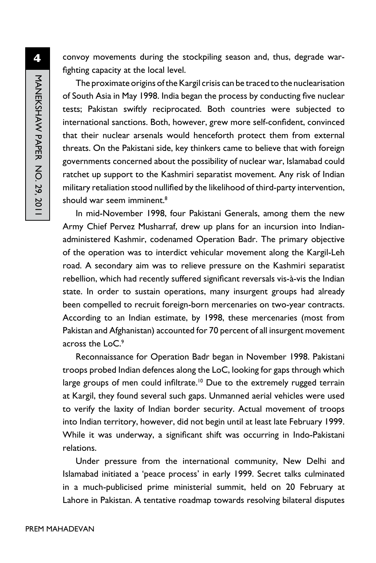**4** MANEKSHAW PAPER NO. 29, 2011 manekshaw Paper No. 29, 2011

convoy movements during the stockpiling season and, thus, degrade warfighting capacity at the local level.

The proximate origins of the Kargil crisis can be traced to the nuclearisation of South Asia in May 1998. India began the process by conducting five nuclear tests; Pakistan swiftly reciprocated. Both countries were subjected to international sanctions. Both, however, grew more self-confident, convinced that their nuclear arsenals would henceforth protect them from external threats. On the Pakistani side, key thinkers came to believe that with foreign governments concerned about the possibility of nuclear war, Islamabad could ratchet up support to the Kashmiri separatist movement. Any risk of Indian military retaliation stood nullified by the likelihood of third-party intervention, should war seem imminent.<sup>8</sup>

In mid-November 1998, four Pakistani Generals, among them the new Army Chief Pervez Musharraf, drew up plans for an incursion into Indianadministered Kashmir, codenamed Operation Badr. The primary objective of the operation was to interdict vehicular movement along the Kargil-Leh road. A secondary aim was to relieve pressure on the Kashmiri separatist rebellion, which had recently suffered significant reversals vis-à-vis the Indian state. In order to sustain operations, many insurgent groups had already been compelled to recruit foreign-born mercenaries on two-year contracts. According to an Indian estimate, by 1998, these mercenaries (most from Pakistan and Afghanistan) accounted for 70 percent of all insurgent movement across the LoC.<sup>9</sup>

Reconnaissance for Operation Badr began in November 1998. Pakistani troops probed Indian defences along the LoC, looking for gaps through which large groups of men could infiltrate.<sup>10</sup> Due to the extremely rugged terrain at Kargil, they found several such gaps. Unmanned aerial vehicles were used to verify the laxity of Indian border security. Actual movement of troops into Indian territory, however, did not begin until at least late February 1999. While it was underway, a significant shift was occurring in Indo-Pakistani relations.

Under pressure from the international community, New Delhi and Islamabad initiated a 'peace process' in early 1999. Secret talks culminated in a much-publicised prime ministerial summit, held on 20 February at Lahore in Pakistan. A tentative roadmap towards resolving bilateral disputes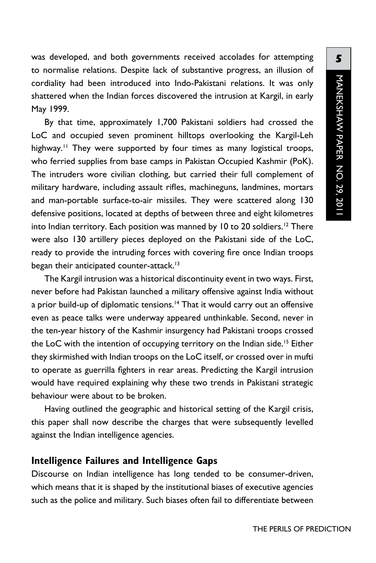was developed, and both governments received accolades for attempting to normalise relations. Despite lack of substantive progress, an illusion of cordiality had been introduced into Indo-Pakistani relations. It was only shattered when the Indian forces discovered the intrusion at Kargil, in early May 1999.

By that time, approximately 1,700 Pakistani soldiers had crossed the LoC and occupied seven prominent hilltops overlooking the Kargil-Leh highway.<sup>11</sup> They were supported by four times as many logistical troops, who ferried supplies from base camps in Pakistan Occupied Kashmir (PoK). The intruders wore civilian clothing, but carried their full complement of military hardware, including assault rifles, machineguns, landmines, mortars and man-portable surface-to-air missiles. They were scattered along 130 defensive positions, located at depths of between three and eight kilometres into Indian territory. Each position was manned by 10 to 20 soldiers.<sup>12</sup> There were also 130 artillery pieces deployed on the Pakistani side of the LoC, ready to provide the intruding forces with covering fire once Indian troops began their anticipated counter-attack.<sup>13</sup>

The Kargil intrusion was a historical discontinuity event in two ways. First, never before had Pakistan launched a military offensive against India without a prior build-up of diplomatic tensions.<sup>14</sup> That it would carry out an offensive even as peace talks were underway appeared unthinkable. Second, never in the ten-year history of the Kashmir insurgency had Pakistani troops crossed the LoC with the intention of occupying territory on the Indian side.<sup>15</sup> Either they skirmished with Indian troops on the LoC itself, or crossed over in mufti to operate as guerrilla fighters in rear areas. Predicting the Kargil intrusion would have required explaining why these two trends in Pakistani strategic behaviour were about to be broken.

Having outlined the geographic and historical setting of the Kargil crisis, this paper shall now describe the charges that were subsequently levelled against the Indian intelligence agencies.

#### **Intelligence Failures and Intelligence Gaps**

Discourse on Indian intelligence has long tended to be consumer-driven, which means that it is shaped by the institutional biases of executive agencies such as the police and military. Such biases often fail to differentiate between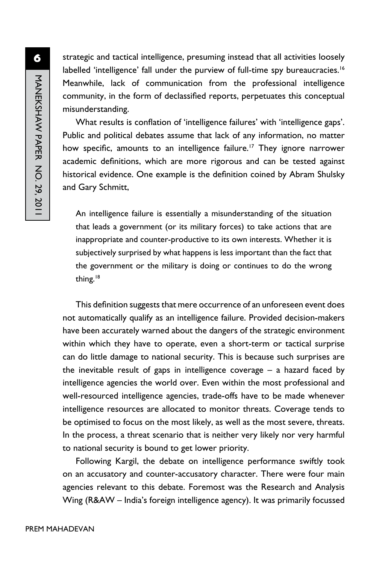strategic and tactical intelligence, presuming instead that all activities loosely labelled 'intelligence' fall under the purview of full-time spy bureaucracies.<sup>16</sup> Meanwhile, lack of communication from the professional intelligence community, in the form of declassified reports, perpetuates this conceptual misunderstanding.

What results is conflation of 'intelligence failures' with 'intelligence gaps'. Public and political debates assume that lack of any information, no matter how specific, amounts to an intelligence failure.<sup>17</sup> They ignore narrower academic definitions, which are more rigorous and can be tested against historical evidence. One example is the definition coined by Abram Shulsky and Gary Schmitt,

An intelligence failure is essentially a misunderstanding of the situation that leads a government (or its military forces) to take actions that are inappropriate and counter-productive to its own interests. Whether it is subjectively surprised by what happens is less important than the fact that the government or the military is doing or continues to do the wrong thing.<sup>18</sup>

This definition suggests that mere occurrence of an unforeseen event does not automatically qualify as an intelligence failure. Provided decision-makers have been accurately warned about the dangers of the strategic environment within which they have to operate, even a short-term or tactical surprise can do little damage to national security. This is because such surprises are the inevitable result of gaps in intelligence coverage – a hazard faced by intelligence agencies the world over. Even within the most professional and well-resourced intelligence agencies, trade-offs have to be made whenever intelligence resources are allocated to monitor threats. Coverage tends to be optimised to focus on the most likely, as well as the most severe, threats. In the process, a threat scenario that is neither very likely nor very harmful to national security is bound to get lower priority.

Following Kargil, the debate on intelligence performance swiftly took on an accusatory and counter-accusatory character. There were four main agencies relevant to this debate. Foremost was the Research and Analysis Wing (R&AW – India's foreign intelligence agency). It was primarily focussed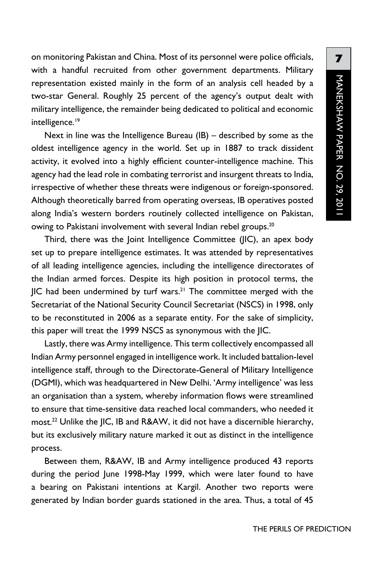on monitoring Pakistan and China. Most of its personnel were police officials, with a handful recruited from other government departments. Military representation existed mainly in the form of an analysis cell headed by a two-star General. Roughly 25 percent of the agency's output dealt with military intelligence, the remainder being dedicated to political and economic intelligence.<sup>19</sup>

Next in line was the Intelligence Bureau (IB) – described by some as the oldest intelligence agency in the world. Set up in 1887 to track dissident activity, it evolved into a highly efficient counter-intelligence machine. This agency had the lead role in combating terrorist and insurgent threats to India, irrespective of whether these threats were indigenous or foreign-sponsored. Although theoretically barred from operating overseas, IB operatives posted along India's western borders routinely collected intelligence on Pakistan, owing to Pakistani involvement with several Indian rebel groups.<sup>20</sup>

Third, there was the Joint Intelligence Committee (JIC), an apex body set up to prepare intelligence estimates. It was attended by representatives of all leading intelligence agencies, including the intelligence directorates of the Indian armed forces. Despite its high position in protocol terms, the  $\parallel$ IC had been undermined by turf wars.<sup>21</sup> The committee merged with the Secretariat of the National Security Council Secretariat (NSCS) in 1998, only to be reconstituted in 2006 as a separate entity. For the sake of simplicity, this paper will treat the 1999 NSCS as synonymous with the JIC.

Lastly, there was Army intelligence. This term collectively encompassed all Indian Army personnel engaged in intelligence work. It included battalion-level intelligence staff, through to the Directorate-General of Military Intelligence (DGMI), which was headquartered in New Delhi. 'Army intelligence' was less an organisation than a system, whereby information flows were streamlined to ensure that time-sensitive data reached local commanders, who needed it most.<sup>22</sup> Unlike the JIC, IB and R&AW, it did not have a discernible hierarchy, but its exclusively military nature marked it out as distinct in the intelligence process.

Between them, R&AW, IB and Army intelligence produced 43 reports during the period June 1998-May 1999, which were later found to have a bearing on Pakistani intentions at Kargil. Another two reports were generated by Indian border guards stationed in the area. Thus, a total of 45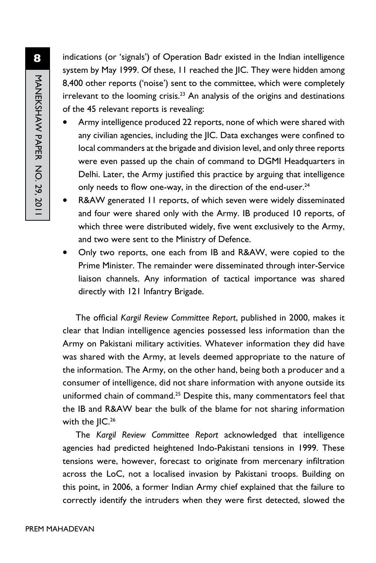indications (or 'signals') of Operation Badr existed in the Indian intelligence system by May 1999. Of these, 11 reached the JIC. They were hidden among 8,400 other reports ('noise') sent to the committee, which were completely  $i$ rrelevant to the looming crisis.<sup>23</sup> An analysis of the origins and destinations of the 45 relevant reports is revealing:

- Army intelligence produced 22 reports, none of which were shared with any civilian agencies, including the JIC. Data exchanges were confined to local commanders at the brigade and division level, and only three reports were even passed up the chain of command to DGMI Headquarters in Delhi. Later, the Army justified this practice by arguing that intelligence only needs to flow one-way, in the direction of the end-user.<sup>24</sup>
- R&AW generated 11 reports, of which seven were widely disseminated and four were shared only with the Army. IB produced 10 reports, of which three were distributed widely, five went exclusively to the Army, and two were sent to the Ministry of Defence.
- Only two reports, one each from IB and R&AW, were copied to the Prime Minister. The remainder were disseminated through inter-Service liaison channels. Any information of tactical importance was shared directly with 121 Infantry Brigade.

The official *Kargil Review Committee Report*, published in 2000, makes it clear that Indian intelligence agencies possessed less information than the Army on Pakistani military activities. Whatever information they did have was shared with the Army, at levels deemed appropriate to the nature of the information. The Army, on the other hand, being both a producer and a consumer of intelligence, did not share information with anyone outside its uniformed chain of command.<sup>25</sup> Despite this, many commentators feel that the IB and R&AW bear the bulk of the blame for not sharing information with the JIC.<sup>26</sup>

The *Kargil Review Committee Report* acknowledged that intelligence agencies had predicted heightened Indo-Pakistani tensions in 1999. These tensions were, however, forecast to originate from mercenary infiltration across the LoC, not a localised invasion by Pakistani troops. Building on this point, in 2006, a former Indian Army chief explained that the failure to correctly identify the intruders when they were first detected, slowed the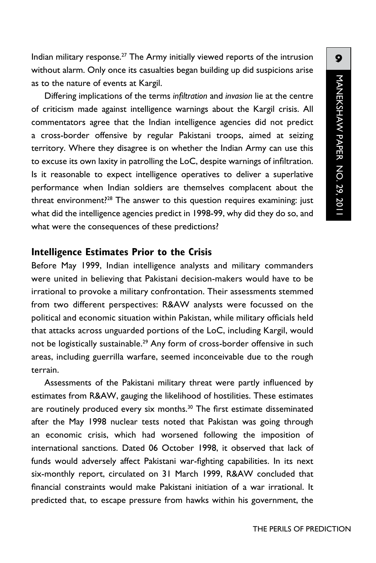Indian military response.27 The Army initially viewed reports of the intrusion without alarm. Only once its casualties began building up did suspicions arise as to the nature of events at Kargil.

Differing implications of the terms *infiltration* and *invasion* lie at the centre of criticism made against intelligence warnings about the Kargil crisis. All commentators agree that the Indian intelligence agencies did not predict a cross-border offensive by regular Pakistani troops, aimed at seizing territory. Where they disagree is on whether the Indian Army can use this to excuse its own laxity in patrolling the LoC, despite warnings of infiltration. Is it reasonable to expect intelligence operatives to deliver a superlative performance when Indian soldiers are themselves complacent about the threat environment?<sup>28</sup> The answer to this question requires examining: just what did the intelligence agencies predict in 1998-99, why did they do so, and what were the consequences of these predictions?

#### **Intelligence Estimates Prior to the Crisis**

Before May 1999, Indian intelligence analysts and military commanders were united in believing that Pakistani decision-makers would have to be irrational to provoke a military confrontation. Their assessments stemmed from two different perspectives: R&AW analysts were focussed on the political and economic situation within Pakistan, while military officials held that attacks across unguarded portions of the LoC, including Kargil, would not be logistically sustainable.<sup>29</sup> Any form of cross-border offensive in such areas, including guerrilla warfare, seemed inconceivable due to the rough terrain.

Assessments of the Pakistani military threat were partly influenced by estimates from R&AW, gauging the likelihood of hostilities. These estimates are routinely produced every six months.<sup>30</sup> The first estimate disseminated after the May 1998 nuclear tests noted that Pakistan was going through an economic crisis, which had worsened following the imposition of international sanctions. Dated 06 October 1998, it observed that lack of funds would adversely affect Pakistani war-fighting capabilities. In its next six-monthly report, circulated on 31 March 1999, R&AW concluded that financial constraints would make Pakistani initiation of a war irrational. It predicted that, to escape pressure from hawks within his government, the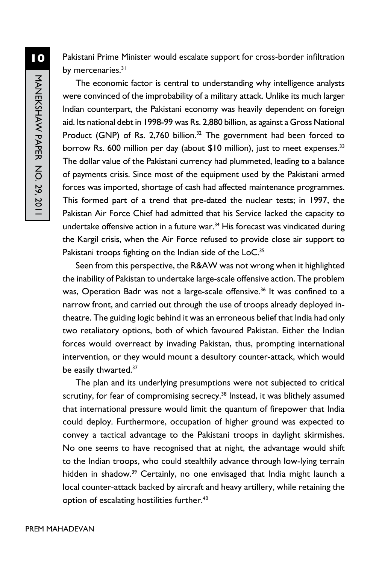Pakistani Prime Minister would escalate support for cross-border infiltration by mercenaries.<sup>31</sup>

The economic factor is central to understanding why intelligence analysts were convinced of the improbability of a military attack. Unlike its much larger Indian counterpart, the Pakistani economy was heavily dependent on foreign aid. Its national debt in 1998-99 was Rs. 2,880 billion, as against a Gross National Product (GNP) of Rs. 2,760 billion.<sup>32</sup> The government had been forced to borrow Rs. 600 million per day (about \$10 million), just to meet expenses.<sup>33</sup> The dollar value of the Pakistani currency had plummeted, leading to a balance of payments crisis. Since most of the equipment used by the Pakistani armed forces was imported, shortage of cash had affected maintenance programmes. This formed part of a trend that pre-dated the nuclear tests; in 1997, the Pakistan Air Force Chief had admitted that his Service lacked the capacity to undertake offensive action in a future war. $34$  His forecast was vindicated during the Kargil crisis, when the Air Force refused to provide close air support to Pakistani troops fighting on the Indian side of the LoC.<sup>35</sup>

Seen from this perspective, the R&AW was not wrong when it highlighted the inability of Pakistan to undertake large-scale offensive action. The problem was, Operation Badr was not a large-scale offensive.<sup>36</sup> It was confined to a narrow front, and carried out through the use of troops already deployed intheatre. The guiding logic behind it was an erroneous belief that India had only two retaliatory options, both of which favoured Pakistan. Either the Indian forces would overreact by invading Pakistan, thus, prompting international intervention, or they would mount a desultory counter-attack, which would be easily thwarted.<sup>37</sup>

The plan and its underlying presumptions were not subjected to critical scrutiny, for fear of compromising secrecy.<sup>38</sup> Instead, it was blithely assumed that international pressure would limit the quantum of firepower that India could deploy. Furthermore, occupation of higher ground was expected to convey a tactical advantage to the Pakistani troops in daylight skirmishes. No one seems to have recognised that at night, the advantage would shift to the Indian troops, who could stealthily advance through low-lying terrain hidden in shadow.<sup>39</sup> Certainly, no one envisaged that India might launch a local counter-attack backed by aircraft and heavy artillery, while retaining the option of escalating hostilities further.<sup>40</sup>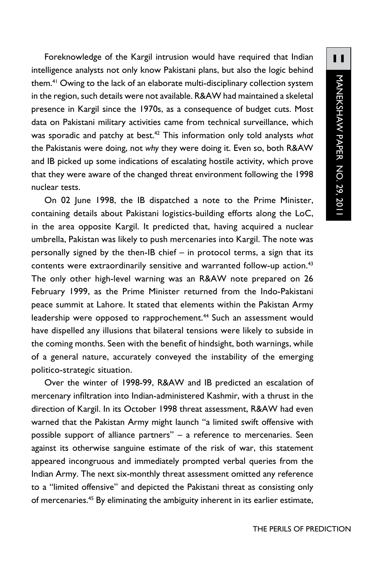Foreknowledge of the Kargil intrusion would have required that Indian intelligence analysts not only know Pakistani plans, but also the logic behind them.41 Owing to the lack of an elaborate multi-disciplinary collection system in the region, such details were not available. R&AW had maintained a skeletal presence in Kargil since the 1970s, as a consequence of budget cuts. Most data on Pakistani military activities came from technical surveillance, which was sporadic and patchy at best.42 This information only told analysts *what* the Pakistanis were doing, not *why* they were doing it. Even so, both R&AW and IB picked up some indications of escalating hostile activity, which prove that they were aware of the changed threat environment following the 1998 nuclear tests.

On 02 June 1998, the IB dispatched a note to the Prime Minister, containing details about Pakistani logistics-building efforts along the LoC, in the area opposite Kargil. It predicted that, having acquired a nuclear umbrella, Pakistan was likely to push mercenaries into Kargil. The note was personally signed by the then-IB chief – in protocol terms, a sign that its contents were extraordinarily sensitive and warranted follow-up action.<sup>43</sup> The only other high-level warning was an R&AW note prepared on 26 February 1999, as the Prime Minister returned from the Indo-Pakistani peace summit at Lahore. It stated that elements within the Pakistan Army leadership were opposed to rapprochement.<sup>44</sup> Such an assessment would have dispelled any illusions that bilateral tensions were likely to subside in the coming months. Seen with the benefit of hindsight, both warnings, while of a general nature, accurately conveyed the instability of the emerging politico-strategic situation.

Over the winter of 1998-99, R&AW and IB predicted an escalation of mercenary infiltration into Indian-administered Kashmir, with a thrust in the direction of Kargil. In its October 1998 threat assessment, R&AW had even warned that the Pakistan Army might launch "a limited swift offensive with possible support of alliance partners" – a reference to mercenaries. Seen against its otherwise sanguine estimate of the risk of war, this statement appeared incongruous and immediately prompted verbal queries from the Indian Army. The next six-monthly threat assessment omitted any reference to a "limited offensive" and depicted the Pakistani threat as consisting only of mercenaries.<sup>45</sup> By eliminating the ambiguity inherent in its earlier estimate,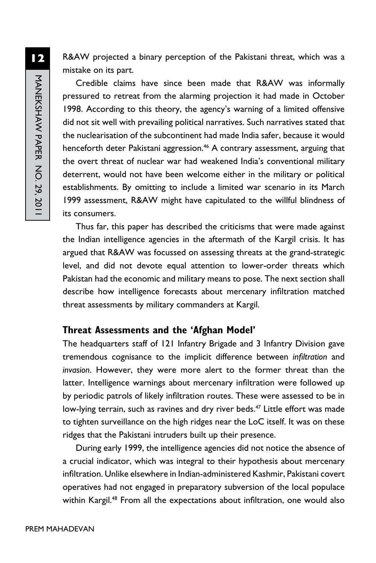R&AW projected a binary perception of the Pakistani threat, which was a mistake on its part.

Credible claims have since been made that R&AW was informally pressured to retreat from the alarming projection it had made in October 1998. According to this theory, the agency's warning of a limited offensive did not sit well with prevailing political narratives. Such narratives stated that the nuclearisation of the subcontinent had made India safer, because it would henceforth deter Pakistani aggression.<sup>46</sup> A contrary assessment, arguing that the overt threat of nuclear war had weakened India's conventional military deterrent, would not have been welcome either in the military or political establishments. By omitting to include a limited war scenario in its March 1999 assessment, R&AW might have capitulated to the willful blindness of its consumers.

Thus far, this paper has described the criticisms that were made against the Indian intelligence agencies in the aftermath of the Kargil crisis. It has argued that R&AW was focussed on assessing threats at the grand-strategic level, and did not devote equal attention to lower-order threats which Pakistan had the economic and military means to pose. The next section shall describe how intelligence forecasts about mercenary infiltration matched threat assessments by military commanders at Kargil.

#### **Threat Assessments and the 'Afghan Model'**

The headquarters staff of 121 Infantry Brigade and 3 Infantry Division gave tremendous cognisance to the implicit difference between *infiltration* and *invasion*. However, they were more alert to the former threat than the latter. Intelligence warnings about mercenary infiltration were followed up by periodic patrols of likely infiltration routes. These were assessed to be in low-lying terrain, such as ravines and dry river beds.<sup>47</sup> Little effort was made to tighten surveillance on the high ridges near the LoC itself. It was on these ridges that the Pakistani intruders built up their presence.

During early 1999, the intelligence agencies did not notice the absence of a crucial indicator, which was integral to their hypothesis about mercenary infiltration. Unlike elsewhere in Indian-administered Kashmir, Pakistani covert operatives had not engaged in preparatory subversion of the local populace within Kargil.<sup>48</sup> From all the expectations about infiltration, one would also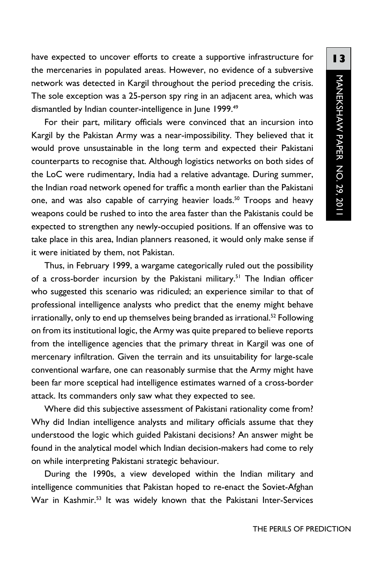have expected to uncover efforts to create a supportive infrastructure for the mercenaries in populated areas. However, no evidence of a subversive network was detected in Kargil throughout the period preceding the crisis. The sole exception was a 25-person spy ring in an adjacent area, which was dismantled by Indian counter-intelligence in June 1999.<sup>49</sup>

For their part, military officials were convinced that an incursion into Kargil by the Pakistan Army was a near-impossibility. They believed that it would prove unsustainable in the long term and expected their Pakistani counterparts to recognise that. Although logistics networks on both sides of the LoC were rudimentary, India had a relative advantage. During summer, the Indian road network opened for traffic a month earlier than the Pakistani one, and was also capable of carrying heavier loads.<sup>50</sup> Troops and heavy weapons could be rushed to into the area faster than the Pakistanis could be expected to strengthen any newly-occupied positions. If an offensive was to take place in this area, Indian planners reasoned, it would only make sense if it were initiated by them, not Pakistan.

Thus, in February 1999, a wargame categorically ruled out the possibility of a cross-border incursion by the Pakistani military.<sup>51</sup> The Indian officer who suggested this scenario was ridiculed; an experience similar to that of professional intelligence analysts who predict that the enemy might behave irrationally, only to end up themselves being branded as irrational.<sup>52</sup> Following on from its institutional logic, the Army was quite prepared to believe reports from the intelligence agencies that the primary threat in Kargil was one of mercenary infiltration. Given the terrain and its unsuitability for large-scale conventional warfare, one can reasonably surmise that the Army might have been far more sceptical had intelligence estimates warned of a cross-border attack. Its commanders only saw what they expected to see.

Where did this subjective assessment of Pakistani rationality come from? Why did Indian intelligence analysts and military officials assume that they understood the logic which guided Pakistani decisions? An answer might be found in the analytical model which Indian decision-makers had come to rely on while interpreting Pakistani strategic behaviour.

During the 1990s, a view developed within the Indian military and intelligence communities that Pakistan hoped to re-enact the Soviet-Afghan War in Kashmir.53 It was widely known that the Pakistani Inter-Services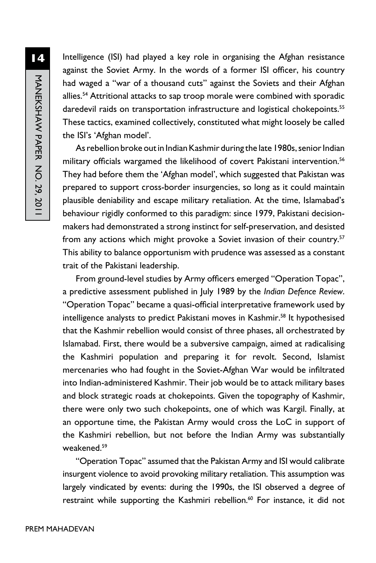Intelligence (ISI) had played a key role in organising the Afghan resistance against the Soviet Army. In the words of a former ISI officer, his country had waged a "war of a thousand cuts" against the Soviets and their Afghan allies.<sup>54</sup> Attritional attacks to sap troop morale were combined with sporadic daredevil raids on transportation infrastructure and logistical chokepoints.<sup>55</sup> These tactics, examined collectively, constituted what might loosely be called the ISI's 'Afghan model'.

As rebellion broke out in Indian Kashmir during the late 1980s, senior Indian military officials wargamed the likelihood of covert Pakistani intervention.<sup>56</sup> They had before them the 'Afghan model', which suggested that Pakistan was prepared to support cross-border insurgencies, so long as it could maintain plausible deniability and escape military retaliation. At the time, Islamabad's behaviour rigidly conformed to this paradigm: since 1979, Pakistani decisionmakers had demonstrated a strong instinct for self-preservation, and desisted from any actions which might provoke a Soviet invasion of their country.<sup>57</sup> This ability to balance opportunism with prudence was assessed as a constant trait of the Pakistani leadership.

From ground-level studies by Army officers emerged "Operation Topac", a predictive assessment published in July 1989 by the *Indian Defence Review*. "Operation Topac" became a quasi-official interpretative framework used by intelligence analysts to predict Pakistani moves in Kashmir.<sup>58</sup> It hypothesised that the Kashmir rebellion would consist of three phases, all orchestrated by Islamabad. First, there would be a subversive campaign, aimed at radicalising the Kashmiri population and preparing it for revolt. Second, Islamist mercenaries who had fought in the Soviet-Afghan War would be infiltrated into Indian-administered Kashmir. Their job would be to attack military bases and block strategic roads at chokepoints. Given the topography of Kashmir, there were only two such chokepoints, one of which was Kargil. Finally, at an opportune time, the Pakistan Army would cross the LoC in support of the Kashmiri rebellion, but not before the Indian Army was substantially weakened.59

"Operation Topac" assumed that the Pakistan Army and ISI would calibrate insurgent violence to avoid provoking military retaliation. This assumption was largely vindicated by events: during the 1990s, the ISI observed a degree of restraint while supporting the Kashmiri rebellion.<sup>60</sup> For instance, it did not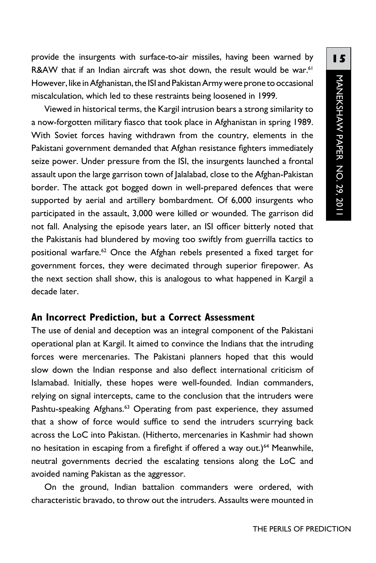provide the insurgents with surface-to-air missiles, having been warned by R&AW that if an Indian aircraft was shot down, the result would be war.<sup>61</sup> However, like in Afghanistan, the ISI and Pakistan Army were prone to occasional miscalculation, which led to these restraints being loosened in 1999.

Viewed in historical terms, the Kargil intrusion bears a strong similarity to a now-forgotten military fiasco that took place in Afghanistan in spring 1989. With Soviet forces having withdrawn from the country, elements in the Pakistani government demanded that Afghan resistance fighters immediately seize power. Under pressure from the ISI, the insurgents launched a frontal assault upon the large garrison town of Jalalabad, close to the Afghan-Pakistan border. The attack got bogged down in well-prepared defences that were supported by aerial and artillery bombardment. Of 6,000 insurgents who participated in the assault, 3,000 were killed or wounded. The garrison did not fall. Analysing the episode years later, an ISI officer bitterly noted that the Pakistanis had blundered by moving too swiftly from guerrilla tactics to positional warfare.62 Once the Afghan rebels presented a fixed target for government forces, they were decimated through superior firepower. As the next section shall show, this is analogous to what happened in Kargil a decade later.

#### **An Incorrect Prediction, but a Correct Assessment**

The use of denial and deception was an integral component of the Pakistani operational plan at Kargil. It aimed to convince the Indians that the intruding forces were mercenaries. The Pakistani planners hoped that this would slow down the Indian response and also deflect international criticism of Islamabad. Initially, these hopes were well-founded. Indian commanders, relying on signal intercepts, came to the conclusion that the intruders were Pashtu-speaking Afghans.<sup>63</sup> Operating from past experience, they assumed that a show of force would suffice to send the intruders scurrying back across the LoC into Pakistan. (Hitherto, mercenaries in Kashmir had shown no hesitation in escaping from a firefight if offered a way out.)<sup>64</sup> Meanwhile, neutral governments decried the escalating tensions along the LoC and avoided naming Pakistan as the aggressor.

On the ground, Indian battalion commanders were ordered, with characteristic bravado, to throw out the intruders. Assaults were mounted in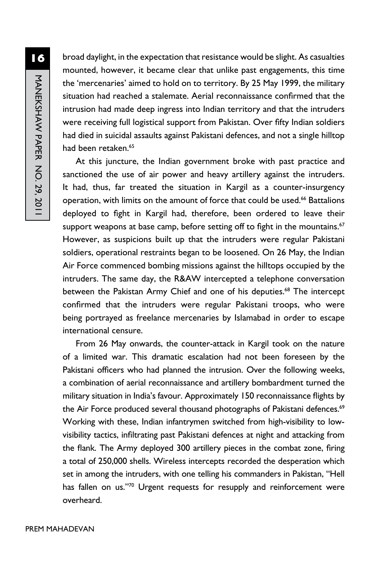broad daylight, in the expectation that resistance would be slight. As casualties mounted, however, it became clear that unlike past engagements, this time the 'mercenaries' aimed to hold on to territory. By 25 May 1999, the military situation had reached a stalemate. Aerial reconnaissance confirmed that the intrusion had made deep ingress into Indian territory and that the intruders were receiving full logistical support from Pakistan. Over fifty Indian soldiers had died in suicidal assaults against Pakistani defences, and not a single hilltop had been retaken.65

At this juncture, the Indian government broke with past practice and sanctioned the use of air power and heavy artillery against the intruders. It had, thus, far treated the situation in Kargil as a counter-insurgency operation, with limits on the amount of force that could be used.<sup>66</sup> Battalions deployed to fight in Kargil had, therefore, been ordered to leave their support weapons at base camp, before setting off to fight in the mountains.<sup>67</sup> However, as suspicions built up that the intruders were regular Pakistani soldiers, operational restraints began to be loosened. On 26 May, the Indian Air Force commenced bombing missions against the hilltops occupied by the intruders. The same day, the R&AW intercepted a telephone conversation between the Pakistan Army Chief and one of his deputies.<sup>68</sup> The intercept confirmed that the intruders were regular Pakistani troops, who were being portrayed as freelance mercenaries by Islamabad in order to escape international censure.

From 26 May onwards, the counter-attack in Kargil took on the nature of a limited war. This dramatic escalation had not been foreseen by the Pakistani officers who had planned the intrusion. Over the following weeks, a combination of aerial reconnaissance and artillery bombardment turned the military situation in India's favour. Approximately 150 reconnaissance flights by the Air Force produced several thousand photographs of Pakistani defences.<sup>69</sup> Working with these, Indian infantrymen switched from high-visibility to lowvisibility tactics, infiltrating past Pakistani defences at night and attacking from the flank. The Army deployed 300 artillery pieces in the combat zone, firing a total of 250,000 shells. Wireless intercepts recorded the desperation which set in among the intruders, with one telling his commanders in Pakistan, "Hell has fallen on us."70 Urgent requests for resupply and reinforcement were overheard.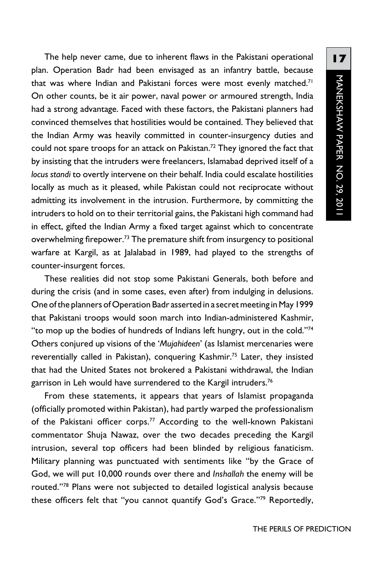The help never came, due to inherent flaws in the Pakistani operational plan. Operation Badr had been envisaged as an infantry battle, because that was where Indian and Pakistani forces were most evenly matched.<sup>71</sup> On other counts, be it air power, naval power or armoured strength, India had a strong advantage. Faced with these factors, the Pakistani planners had convinced themselves that hostilities would be contained. They believed that the Indian Army was heavily committed in counter-insurgency duties and could not spare troops for an attack on Pakistan.<sup>72</sup> They ignored the fact that by insisting that the intruders were freelancers, Islamabad deprived itself of a *locus standi* to overtly intervene on their behalf. India could escalate hostilities locally as much as it pleased, while Pakistan could not reciprocate without admitting its involvement in the intrusion. Furthermore, by committing the intruders to hold on to their territorial gains, the Pakistani high command had in effect, gifted the Indian Army a fixed target against which to concentrate overwhelming firepower.<sup>73</sup> The premature shift from insurgency to positional warfare at Kargil, as at Jalalabad in 1989, had played to the strengths of counter-insurgent forces.

These realities did not stop some Pakistani Generals, both before and during the crisis (and in some cases, even after) from indulging in delusions. One of the planners of Operation Badr asserted in a secret meeting in May 1999 that Pakistani troops would soon march into Indian-administered Kashmir, "to mop up the bodies of hundreds of Indians left hungry, out in the cold."74 Others conjured up visions of the '*Mujahideen*' (as Islamist mercenaries were reverentially called in Pakistan), conquering Kashmir.<sup>75</sup> Later, they insisted that had the United States not brokered a Pakistani withdrawal, the Indian garrison in Leh would have surrendered to the Kargil intruders.<sup>76</sup>

From these statements, it appears that years of Islamist propaganda (officially promoted within Pakistan), had partly warped the professionalism of the Pakistani officer corps.<sup>77</sup> According to the well-known Pakistani commentator Shuja Nawaz, over the two decades preceding the Kargil intrusion, several top officers had been blinded by religious fanaticism. Military planning was punctuated with sentiments like "by the Grace of God, we will put 10,000 rounds over there and *Inshallah* the enemy will be routed."78 Plans were not subjected to detailed logistical analysis because these officers felt that "you cannot quantify God's Grace."<sup>79</sup> Reportedly,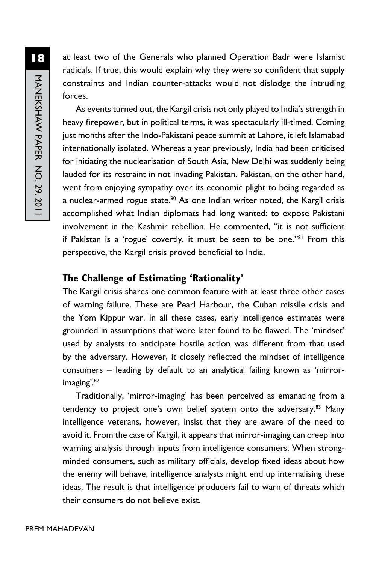at least two of the Generals who planned Operation Badr were Islamist radicals. If true, this would explain why they were so confident that supply constraints and Indian counter-attacks would not dislodge the intruding forces.

As events turned out, the Kargil crisis not only played to India's strength in heavy firepower, but in political terms, it was spectacularly ill-timed. Coming just months after the Indo-Pakistani peace summit at Lahore, it left Islamabad internationally isolated. Whereas a year previously, India had been criticised for initiating the nuclearisation of South Asia, New Delhi was suddenly being lauded for its restraint in not invading Pakistan. Pakistan, on the other hand, went from enjoying sympathy over its economic plight to being regarded as a nuclear-armed rogue state. $80$  As one Indian writer noted, the Kargil crisis accomplished what Indian diplomats had long wanted: to expose Pakistani involvement in the Kashmir rebellion. He commented, "it is not sufficient if Pakistan is a 'rogue' covertly, it must be seen to be one."<sup>81</sup> From this perspective, the Kargil crisis proved beneficial to India.

#### **The Challenge of Estimating 'Rationality'**

The Kargil crisis shares one common feature with at least three other cases of warning failure. These are Pearl Harbour, the Cuban missile crisis and the Yom Kippur war. In all these cases, early intelligence estimates were grounded in assumptions that were later found to be flawed. The 'mindset' used by analysts to anticipate hostile action was different from that used by the adversary. However, it closely reflected the mindset of intelligence consumers – leading by default to an analytical failing known as 'mirrorimaging'.82

Traditionally, 'mirror-imaging' has been perceived as emanating from a tendency to project one's own belief system onto the adversary.<sup>83</sup> Many intelligence veterans, however, insist that they are aware of the need to avoid it. From the case of Kargil, it appears that mirror-imaging can creep into warning analysis through inputs from intelligence consumers. When strongminded consumers, such as military officials, develop fixed ideas about how the enemy will behave, intelligence analysts might end up internalising these ideas. The result is that intelligence producers fail to warn of threats which their consumers do not believe exist.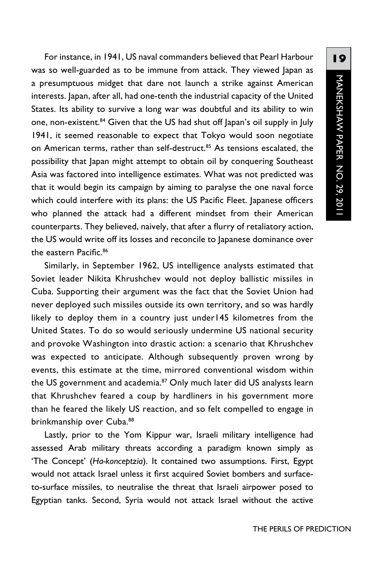For instance, in 1941, US naval commanders believed that Pearl Harbour was so well-guarded as to be immune from attack. They viewed Japan as a presumptuous midget that dare not launch a strike against American interests. Japan, after all, had one-tenth the industrial capacity of the United States. Its ability to survive a long war was doubtful and its ability to win one, non-existent.<sup>84</sup> Given that the US had shut off Japan's oil supply in July 1941, it seemed reasonable to expect that Tokyo would soon negotiate on American terms, rather than self-destruct.<sup>85</sup> As tensions escalated, the possibility that Japan might attempt to obtain oil by conquering Southeast Asia was factored into intelligence estimates. What was not predicted was that it would begin its campaign by aiming to paralyse the one naval force which could interfere with its plans: the US Pacific Fleet. Japanese officers who planned the attack had a different mindset from their American counterparts. They believed, naively, that after a flurry of retaliatory action, the US would write off its losses and reconcile to Japanese dominance over the eastern Pacific.<sup>86</sup>

Similarly, in September 1962, US intelligence analysts estimated that Soviet leader Nikita Khrushchev would not deploy ballistic missiles in Cuba. Supporting their argument was the fact that the Soviet Union had never deployed such missiles outside its own territory, and so was hardly likely to deploy them in a country just under145 kilometres from the United States. To do so would seriously undermine US national security and provoke Washington into drastic action: a scenario that Khrushchev was expected to anticipate. Although subsequently proven wrong by events, this estimate at the time, mirrored conventional wisdom within the US government and academia.<sup>87</sup> Only much later did US analysts learn that Khrushchev feared a coup by hardliners in his government more than he feared the likely US reaction, and so felt compelled to engage in brinkmanship over Cuba.<sup>88</sup>

Lastly, prior to the Yom Kippur war, Israeli military intelligence had assessed Arab military threats according a paradigm known simply as 'The Concept' (*Ha-konceptzia*). It contained two assumptions. First, Egypt would not attack Israel unless it first acquired Soviet bombers and surfaceto-surface missiles, to neutralise the threat that Israeli airpower posed to Egyptian tanks. Second, Syria would not attack Israel without the active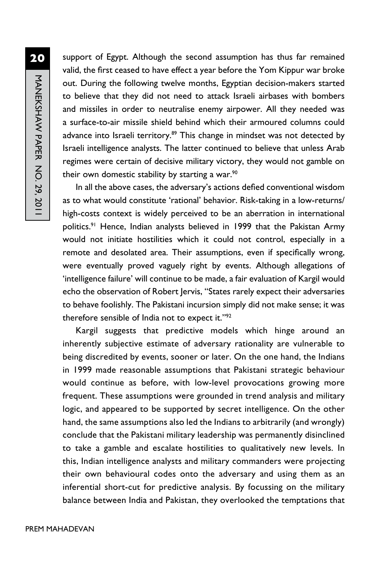support of Egypt. Although the second assumption has thus far remained valid, the first ceased to have effect a year before the Yom Kippur war broke out. During the following twelve months, Egyptian decision-makers started to believe that they did not need to attack Israeli airbases with bombers and missiles in order to neutralise enemy airpower. All they needed was a surface-to-air missile shield behind which their armoured columns could advance into Israeli territory.<sup>89</sup> This change in mindset was not detected by Israeli intelligence analysts. The latter continued to believe that unless Arab regimes were certain of decisive military victory, they would not gamble on their own domestic stability by starting a war. $90$ 

In all the above cases, the adversary's actions defied conventional wisdom as to what would constitute 'rational' behavior. Risk-taking in a low-returns/ high-costs context is widely perceived to be an aberration in international politics.<sup>91</sup> Hence, Indian analysts believed in 1999 that the Pakistan Army would not initiate hostilities which it could not control, especially in a remote and desolated area. Their assumptions, even if specifically wrong, were eventually proved vaguely right by events. Although allegations of 'intelligence failure' will continue to be made, a fair evaluation of Kargil would echo the observation of Robert Jervis, "States rarely expect their adversaries to behave foolishly. The Pakistani incursion simply did not make sense; it was therefore sensible of India not to expect it."92

Kargil suggests that predictive models which hinge around an inherently subjective estimate of adversary rationality are vulnerable to being discredited by events, sooner or later. On the one hand, the Indians in 1999 made reasonable assumptions that Pakistani strategic behaviour would continue as before, with low-level provocations growing more frequent. These assumptions were grounded in trend analysis and military logic, and appeared to be supported by secret intelligence. On the other hand, the same assumptions also led the Indians to arbitrarily (and wrongly) conclude that the Pakistani military leadership was permanently disinclined to take a gamble and escalate hostilities to qualitatively new levels. In this, Indian intelligence analysts and military commanders were projecting their own behavioural codes onto the adversary and using them as an inferential short-cut for predictive analysis. By focussing on the military balance between India and Pakistan, they overlooked the temptations that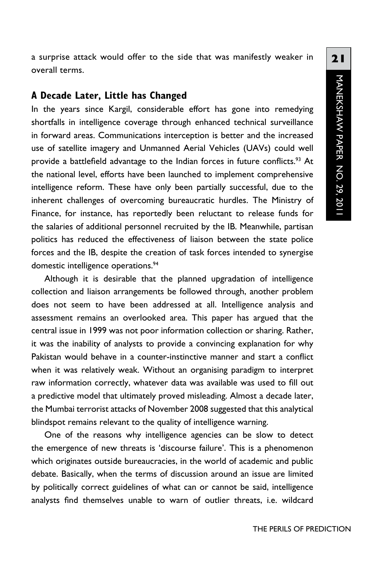a surprise attack would offer to the side that was manifestly weaker in overall terms.

#### **A Decade Later, Little has Changed**

In the years since Kargil, considerable effort has gone into remedying shortfalls in intelligence coverage through enhanced technical surveillance in forward areas. Communications interception is better and the increased use of satellite imagery and Unmanned Aerial Vehicles (UAVs) could well provide a battlefield advantage to the Indian forces in future conflicts.<sup>93</sup> At the national level, efforts have been launched to implement comprehensive intelligence reform. These have only been partially successful, due to the inherent challenges of overcoming bureaucratic hurdles. The Ministry of Finance, for instance, has reportedly been reluctant to release funds for the salaries of additional personnel recruited by the IB. Meanwhile, partisan politics has reduced the effectiveness of liaison between the state police forces and the IB, despite the creation of task forces intended to synergise domestic intelligence operations.<sup>94</sup>

Although it is desirable that the planned upgradation of intelligence collection and liaison arrangements be followed through, another problem does not seem to have been addressed at all. Intelligence analysis and assessment remains an overlooked area. This paper has argued that the central issue in 1999 was not poor information collection or sharing. Rather, it was the inability of analysts to provide a convincing explanation for why Pakistan would behave in a counter-instinctive manner and start a conflict when it was relatively weak. Without an organising paradigm to interpret raw information correctly, whatever data was available was used to fill out a predictive model that ultimately proved misleading. Almost a decade later, the Mumbai terrorist attacks of November 2008 suggested that this analytical blindspot remains relevant to the quality of intelligence warning.

One of the reasons why intelligence agencies can be slow to detect the emergence of new threats is 'discourse failure'. This is a phenomenon which originates outside bureaucracies, in the world of academic and public debate. Basically, when the terms of discussion around an issue are limited by politically correct guidelines of what can or cannot be said, intelligence analysts find themselves unable to warn of outlier threats, i.e. wildcard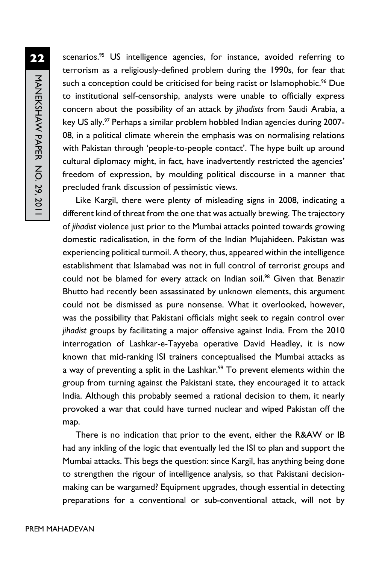**22** MANEKSHAW PAPER NO. 29, 2011 manekshaw Paper No. 29, 2011

scenarios.<sup>95</sup> US intelligence agencies, for instance, avoided referring to terrorism as a religiously-defined problem during the 1990s, for fear that such a conception could be criticised for being racist or Islamophobic.<sup>96</sup> Due to institutional self-censorship, analysts were unable to officially express concern about the possibility of an attack by *jihadists* from Saudi Arabia, a key US ally.<sup>97</sup> Perhaps a similar problem hobbled Indian agencies during 2007-08, in a political climate wherein the emphasis was on normalising relations with Pakistan through 'people-to-people contact'. The hype built up around cultural diplomacy might, in fact, have inadvertently restricted the agencies' freedom of expression, by moulding political discourse in a manner that precluded frank discussion of pessimistic views.

Like Kargil, there were plenty of misleading signs in 2008, indicating a different kind of threat from the one that was actually brewing. The trajectory of *jihadist* violence just prior to the Mumbai attacks pointed towards growing domestic radicalisation, in the form of the Indian Mujahideen. Pakistan was experiencing political turmoil. A theory, thus, appeared within the intelligence establishment that Islamabad was not in full control of terrorist groups and could not be blamed for every attack on Indian soil.<sup>98</sup> Given that Benazir Bhutto had recently been assassinated by unknown elements, this argument could not be dismissed as pure nonsense. What it overlooked, however, was the possibility that Pakistani officials might seek to regain control over *jihadist* groups by facilitating a major offensive against India. From the 2010 interrogation of Lashkar-e-Tayyeba operative David Headley, it is now known that mid-ranking ISI trainers conceptualised the Mumbai attacks as a way of preventing a split in the Lashkar.<sup>99</sup> To prevent elements within the group from turning against the Pakistani state, they encouraged it to attack India. Although this probably seemed a rational decision to them, it nearly provoked a war that could have turned nuclear and wiped Pakistan off the map.

There is no indication that prior to the event, either the R&AW or IB had any inkling of the logic that eventually led the ISI to plan and support the Mumbai attacks. This begs the question: since Kargil, has anything being done to strengthen the rigour of intelligence analysis, so that Pakistani decisionmaking can be wargamed? Equipment upgrades, though essential in detecting preparations for a conventional or sub-conventional attack, will not by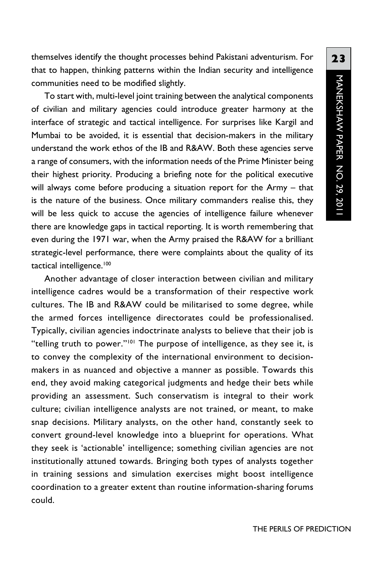themselves identify the thought processes behind Pakistani adventurism. For that to happen, thinking patterns within the Indian security and intelligence communities need to be modified slightly.

To start with, multi-level joint training between the analytical components of civilian and military agencies could introduce greater harmony at the interface of strategic and tactical intelligence. For surprises like Kargil and Mumbai to be avoided, it is essential that decision-makers in the military understand the work ethos of the IB and R&AW. Both these agencies serve a range of consumers, with the information needs of the Prime Minister being their highest priority. Producing a briefing note for the political executive will always come before producing a situation report for the Army – that is the nature of the business. Once military commanders realise this, they will be less quick to accuse the agencies of intelligence failure whenever there are knowledge gaps in tactical reporting. It is worth remembering that even during the 1971 war, when the Army praised the R&AW for a brilliant strategic-level performance, there were complaints about the quality of its tactical intelligence.<sup>100</sup>

Another advantage of closer interaction between civilian and military intelligence cadres would be a transformation of their respective work cultures. The IB and R&AW could be militarised to some degree, while the armed forces intelligence directorates could be professionalised. Typically, civilian agencies indoctrinate analysts to believe that their job is "telling truth to power."<sup>101</sup> The purpose of intelligence, as they see it, is to convey the complexity of the international environment to decisionmakers in as nuanced and objective a manner as possible. Towards this end, they avoid making categorical judgments and hedge their bets while providing an assessment. Such conservatism is integral to their work culture; civilian intelligence analysts are not trained, or meant, to make snap decisions. Military analysts, on the other hand, constantly seek to convert ground-level knowledge into a blueprint for operations. What they seek is 'actionable' intelligence; something civilian agencies are not institutionally attuned towards. Bringing both types of analysts together in training sessions and simulation exercises might boost intelligence coordination to a greater extent than routine information-sharing forums could.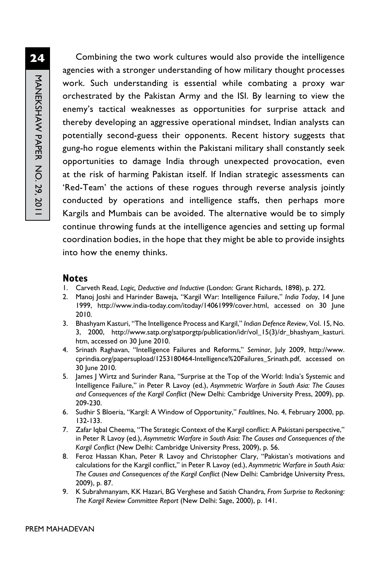Combining the two work cultures would also provide the intelligence agencies with a stronger understanding of how military thought processes work. Such understanding is essential while combating a proxy war orchestrated by the Pakistan Army and the ISI. By learning to view the enemy's tactical weaknesses as opportunities for surprise attack and thereby developing an aggressive operational mindset, Indian analysts can potentially second-guess their opponents. Recent history suggests that gung-ho rogue elements within the Pakistani military shall constantly seek opportunities to damage India through unexpected provocation, even at the risk of harming Pakistan itself. If Indian strategic assessments can 'Red-Team' the actions of these rogues through reverse analysis jointly conducted by operations and intelligence staffs, then perhaps more Kargils and Mumbais can be avoided. The alternative would be to simply continue throwing funds at the intelligence agencies and setting up formal coordination bodies, in the hope that they might be able to provide insights into how the enemy thinks.

#### **Notes**

- 1. Carveth Read, *Logic, Deductive and Inductive* (London: Grant Richards, 1898), p. 272.
- 2. Manoj Joshi and Harinder Baweja, "Kargil War: Intelligence Failure," *India Today*, 14 June 1999, http://www.india-today.com/itoday/14061999/cover.html, accessed on 30 June 2010.
- 3. Bhashyam Kasturi, "The Intelligence Process and Kargil," *Indian Defence Review*, Vol. 15, No. 3, 2000, http://www.satp.org/satporgtp/publication/idr/vol\_15(3)/dr\_bhashyam\_kasturi. htm, accessed on 30 June 2010.
- 4. Srinath Raghavan, "Intelligence Failures and Reforms," *Seminar*, July 2009, http://www. cprindia.org/papersupload/1253180464-Intelligence%20Failures\_Srinath.pdf, accessed on 30 June 2010.
- 5. James J Wirtz and Surinder Rana, "Surprise at the Top of the World: India's Systemic and Intelligence Failure," in Peter R Lavoy (ed.), *Asymmetric Warfare in South Asia: The Causes and Consequences of the Kargil Conflict* (New Delhi: Cambridge University Press, 2009), pp. 209-230.
- 6. Sudhir S Bloeria, "Kargil: A Window of Opportunity," *Faultlines*, No. 4, February 2000, pp. 132-133.
- 7. Zafar Iqbal Cheema, "The Strategic Context of the Kargil conflict: A Pakistani perspective," in Peter R Lavoy (ed.), *Asymmetric Warfare in South Asia: The Causes and Consequences of the Kargil Conflict* (New Delhi: Cambridge University Press, 2009), p. 56.
- 8. Feroz Hassan Khan, Peter R Lavoy and Christopher Clary, "Pakistan's motivations and calculations for the Kargil conflict," in Peter R Lavoy (ed.), *Asymmetric Warfare in South Asia: The Causes and Consequences of the Kargil Conflict* (New Delhi: Cambridge University Press, 2009), p. 87.
- 9. K Subrahmanyam, KK Hazari, BG Verghese and Satish Chandra, *From Surprise to Reckoning: The Kargil Review Committee Report* (New Delhi: Sage, 2000), p. 141.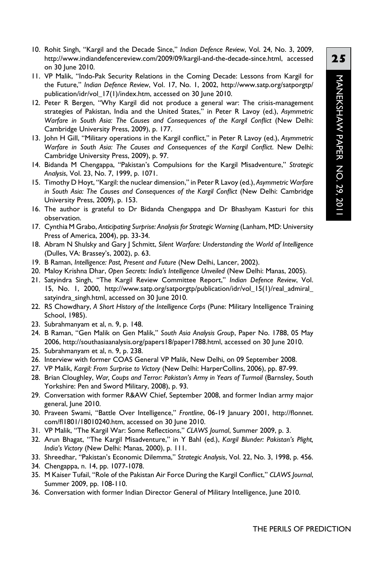- 10. Rohit Singh, "Kargil and the Decade Since," *Indian Defence Review*, Vol. 24, No. 3, 2009, http://www.indiandefencereview.com/2009/09/kargil-and-the-decade-since.html, accessed on 30 June 2010.
- 11. VP Malik, "Indo-Pak Security Relations in the Coming Decade: Lessons from Kargil for the Future," *Indian Defence Review*, Vol. 17, No. 1, 2002, http://www.satp.org/satporgtp/ publication/idr/vol\_17(1)/index.htm, accessed on 30 June 2010.
- 12. Peter R Bergen, "Why Kargil did not produce a general war: The crisis-management strategies of Pakistan, India and the United States," in Peter R Lavoy (ed.), *Asymmetric Warfare in South Asia: The Causes and Consequences of the Kargil Conflict* (New Delhi: Cambridge University Press, 2009), p. 177.
- 13. John H Gill, "Military operations in the Kargil conflict," in Peter R Lavoy (ed.), *Asymmetric Warfare in South Asia: The Causes and Consequences of the Kargil Conflict*. New Delhi: Cambridge University Press, 2009), p. 97.
- 14. Bidanda M Chengappa, "Pakistan's Compulsions for the Kargil Misadventure," *Strategic Analysis*, Vol. 23, No. 7, 1999, p. 1071.
- 15. Timothy D Hoyt, "Kargil: the nuclear dimension," in Peter R Lavoy (ed.), *Asymmetric Warfare in South Asia: The Causes and Consequences of the Kargil Conflict* (New Delhi: Cambridge University Press, 2009), p. 153.
- 16. The author is grateful to Dr Bidanda Chengappa and Dr Bhashyam Kasturi for this observation.
- 17. Cynthia M Grabo, *Anticipating Surprise: Analysis for Strategic Warning* (Lanham, MD: University Press of America, 2004), pp. 33-34.
- 18. Abram N Shulsky and Gary J Schmitt, *Silent Warfare: Understanding the World of Intelligence*  (Dulles, VA: Brassey's, 2002), p. 63.
- 19. B Raman, *Intelligence: Past, Present and Future* (New Delhi, Lancer, 2002).
- 20. Maloy Krishna Dhar, *Open Secrets: India's Intelligence Unveiled* (New Delhi: Manas, 2005).
- 21. Satyindra Singh, "The Kargil Review Committee Report," *Indian Defence Review*, Vol. 15, No. 1, 2000, http://www.satp.org/satporgtp/publication/idr/vol\_15(1)/real\_admiral\_ satyindra\_singh.html, accessed on 30 June 2010.
- 22. RS Chowdhary, *A Short History of the Intelligence Corps* (Pune: Military Intelligence Training School, 1985).
- 23. Subrahmanyam et al, n. 9, p. 148.
- 24. B Raman, "Gen Malik on Gen Malik," *South Asia Analysis Group*, Paper No. 1788, 05 May 2006, http://southasiaanalysis.org/papers18/paper1788.html, accessed on 30 June 2010.
- 25. Subrahmanyam et al, n. 9, p. 238.
- 26. Interview with former COAS General VP Malik, New Delhi, on 09 September 2008.
- 27. VP Malik, *Kargil: From Surprise to Victory* (New Delhi: HarperCollins, 2006), pp. 87-99.
- 28. Brian Cloughley, *War, Coups and Terror: Pakistan's Army in Years of Turmoil* (Barnsley, South Yorkshire: Pen and Sword Military, 2008), p. 93.
- 29. Conversation with former R&AW Chief, September 2008, and former Indian army major general, June 2010.
- 30. Praveen Swami, "Battle Over Intelligence," *Frontline*, 06-19 January 2001, http://flonnet. com/fl1801/18010240.htm, accessed on 30 June 2010.
- 31. VP Malik, "The Kargil War: Some Reflections," *CLAWS Journal*, Summer 2009, p. 3.
- 32. Arun Bhagat, "The Kargil Misadventure," in Y Bahl (ed.), *Kargil Blunder: Pakistan's Plight, India's Victory* (New Delhi: Manas, 2000), p. 111.
- 33. Shreedhar, "Pakistan's Economic Dilemma," *Strategic Analysis*, Vol. 22, No. 3, 1998, p. 456.
- 34. Chengappa, n. 14, pp. 1077-1078.
- 35. M Kaiser Tufail, "Role of the Pakistan Air Force During the Kargil Conflict," *CLAWS Journal*, Summer 2009, pp. 108-110.
- 36. Conversation with former Indian Director General of Military Intelligence, June 2010.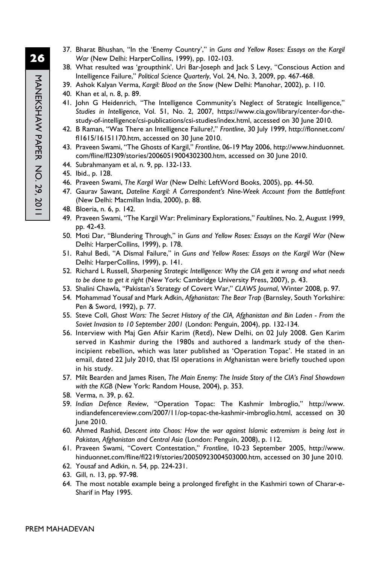- 37. Bharat Bhushan, "In the 'Enemy Country'," in *Guns and Yellow Roses: Essays on the Kargil War* (New Delhi: HarperCollins, 1999), pp. 102-103.
- 38. What resulted was 'groupthink'. Uri Bar-Joseph and Jack S Levy, "Conscious Action and Intelligence Failure," *Political Science Quarterly*, Vol. 24, No. 3, 2009, pp. 467-468.
- 39. Ashok Kalyan Verma, *Kargil: Blood on the Snow* (New Delhi: Manohar, 2002), p. 110.
- 40. Khan et al, n. 8, p. 89.
- 41. John G Heidenrich, "The Intelligence Community's Neglect of Strategic Intelligence," *Studies in Intelligence*, Vol. 51, No. 2, 2007, https://www.cia.gov/library/center-for-thestudy-of-intelligence/csi-publications/csi-studies/index.html, accessed on 30 June 2010.
- 42. B Raman, "Was There an Intelligence Failure?," *Frontline*, 30 July 1999, http://flonnet.com/ fl1615/16151170.htm, accessed on 30 June 2010.
- 43. Praveen Swami, "The Ghosts of Kargil," *Frontline*, 06-19 May 2006, http://www.hinduonnet. com/fline/fl2309/stories/20060519004302300.htm, accessed on 30 June 2010.
- 44. Subrahmanyam et al, n. 9, pp. 132-133.
- 45. Ibid., p. 128.
- 46. Praveen Swami, *The Kargil War* (New Delhi: LeftWord Books, 2005), pp. 44-50.
- 47. Gaurav Sawant, *Dateline Kargil: A Correspondent's Nine-Week Account from the Battlefront* (New Delhi: Macmillan India, 2000), p. 88.
- 48. Bloeria, n. 6, p. 142.
- 49. Praveen Swami, "The Kargil War: Preliminary Explorations," *Faultlines*, No. 2, August 1999, pp. 42-43.
- 50. Moti Dar, "Blundering Through," in *Guns and Yellow Roses: Essays on the Kargil War* (New Delhi: HarperCollins, 1999), p. 178.
- 51. Rahul Bedi, "A Dismal Failure," in *Guns and Yellow Roses: Essays on the Kargil War* (New Delhi: HarperCollins, 1999), p. 141.
- 52. Richard L Russell, *Sharpening Strategic Intelligence: Why the CIA gets it wrong and what needs to be done to get it right* (New York: Cambridge University Press, 2007), p. 43.
- 53. Shalini Chawla, "Pakistan's Strategy of Covert War," *CLAWS Journal*, Winter 2008, p. 97.
- 54. Mohammad Yousaf and Mark Adkin, *Afghanistan: The Bear Trap* (Barnsley, South Yorkshire: Pen & Sword, 1992), p. 77.
- 55. Steve Coll, *Ghost Wars: The Secret History of the CIA, Afghanistan and Bin Laden From the Soviet Invasion to 10 September 2001* (London: Penguin, 2004), pp. 132-134.
- 56. Interview with Maj Gen Afsir Karim (Retd), New Delhi, on 02 July 2008. Gen Karim served in Kashmir during the 1980s and authored a landmark study of the thenincipient rebellion, which was later published as 'Operation Topac'. He stated in an email, dated 22 July 2010, that ISI operations in Afghanistan were briefly touched upon in his study.
- 57. Milt Bearden and James Risen, *The Main Enemy: The Inside Story of the CIA's Final Showdown with the KGB* (New York: Random House, 2004), p. 353.
- 58. Verma, n. 39, p. 62.
- 59. *Indian Defence Review*, "Operation Topac: The Kashmir Imbroglio," http://www. indiandefencereview.com/2007/11/op-topac-the-kashmir-imbroglio.html, accessed on 30 June 2010.
- 60. Ahmed Rashid, *Descent into Chaos: How the war against Islamic extremism is being lost in Pakistan, Afghanistan and Central Asia* (London: Penguin, 2008), p. 112.
- 61. Praveen Swami, "Covert Contestation," *Frontline*, 10-23 September 2005, http://www. hinduonnet.com/fline/fl2219/stories/20050923004503000.htm, accessed on 30 June 2010.
- 62. Yousaf and Adkin, n. 54, pp. 224-231.
- 63. Gill, n. 13, pp. 97-98.
- 64. The most notable example being a prolonged firefight in the Kashmiri town of Charar-e-Sharif in May 1995.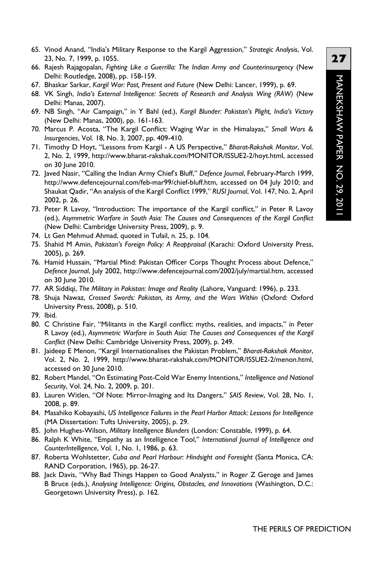- 65. Vinod Anand, "India's Military Response to the Kargil Aggression," *Strategic Analysis*, Vol. 23, No. 7, 1999, p. 1055.
- 66. Rajesh Rajagopalan, *Fighting Like a Guerrilla: The Indian Army and Counterinsurgency* (New Delhi: Routledge, 2008), pp. 158-159.
- 67. Bhaskar Sarkar, *Kargil War: Past, Present and Future* (New Delhi: Lancer, 1999), p. 69.
- 68. VK Singh, *India's External Intelligence: Secrets of Research and Analysis Wing (RAW)* (New Delhi: Manas, 2007).
- 69. NB Singh, "Air Campaign," in Y Bahl (ed.), *Kargil Blunder: Pakistan's Plight, India's Victory* (New Delhi: Manas, 2000), pp. 161-163.
- 70. Marcus P. Acosta, "The Kargil Conflict: Waging War in the Himalayas," *Small Wars & Insurgencies*, Vol. 18, No. 3, 2007, pp. 409-410.
- 71. Timothy D Hoyt, "Lessons from Kargil A US Perspective," *Bharat-Rakshak Monitor*, Vol. 2, No. 2, 1999, http://www.bharat-rakshak.com/MONITOR/ISSUE2-2/hoyt.html, accessed on 30 June 2010.
- 72. Javed Nasir, "Calling the Indian Army Chief's Bluff," *Defence Journal*, February-March 1999, http://www.defencejournal.com/feb-mar99/chief-bluff.htm, accessed on 04 July 2010; and Shaukat Qadir, "An analysis of the Kargil Conflict 1999," *RUSI Journal*, Vol. 147, No. 2, April 2002, p. 26.
- 73. Peter R Lavoy, "Introduction: The importance of the Kargil conflict," in Peter R Lavoy (ed.), *Asymmetric Warfare in South Asia: The Causes and Consequences of the Kargil Conflict* (New Delhi: Cambridge University Press, 2009), p. 9.
- 74. Lt Gen Mehmud Ahmad, quoted in Tufail, n. 25, p. 104.
- 75. Shahid M Amin, *Pakistan's Foreign Policy: A Reappraisal* (Karachi: Oxford University Press, 2005), p. 269.
- 76. Hamid Hussain, "Martial Mind: Pakistan Officer Corps Thought Process about Defence," *Defence Journal*, July 2002, http://www.defencejournal.com/2002/july/martial.htm, accessed on 30 June 2010.
- 77. AR Siddiqi, *The Military in Pakistan: Image and Reality* (Lahore, Vanguard: 1996), p. 233.
- 78. Shuja Nawaz, *Crossed Swords: Pakistan, its Army, and the Wars Within* (Oxford: Oxford University Press, 2008), p. 510.
- 79. Ibid.
- 80. C Christine Fair, "Militants in the Kargil conflict: myths, realities, and impacts," in Peter R Lavoy (ed.), *Asymmetric Warfare in South Asia: The Causes and Consequences of the Kargil Conflict* (New Delhi: Cambridge University Press, 2009), p. 249.
- 81. Jaideep E Menon, "Kargil Internationalises the Pakistan Problem," *Bharat-Rakshak Monitor*, Vol. 2, No. 2, 1999, http://www.bharat-rakshak.com/MONITOR/ISSUE2-2/menon.html, accessed on 30 June 2010.
- 82. Robert Mandel, "On Estimating Post-Cold War Enemy Intentions," *Intelligence and National Security*, Vol. 24, No. 2, 2009, p. 201.
- 83. Lauren Witlen, "Of Note: Mirror-Imaging and Its Dangers," *SAIS Review*, Vol. 28, No. 1, 2008, p. 89.
- 84. Masahiko Kobayashi, *US Intelligence Failures in the Pearl Harbor Attack: Lessons for Intelligence* (MA Dissertation: Tufts University, 2005), p. 29.
- 85. John Hughes-Wilson, *Military Intelligence Blunders* (London: Constable, 1999), p. 64.
- 86. Ralph K White, "Empathy as an Intelligence Tool," *International Journal of Intelligence and CounterIntelligence*, Vol. 1, No. 1, 1986, p. 63.
- 87. Roberta Wohlstetter, *Cuba and Pearl Harbour: Hindsight and Foresight* (Santa Monica, CA: RAND Corporation, 1965), pp. 26-27.
- 88. Jack Davis, "Why Bad Things Happen to Good Analysts," in Roger Z Geroge and James B Bruce (eds.), *Analysing Intelligence: Origins, Obstacles, and Innovations* (Washington, D.C.: Georgetown University Press), p. 162.